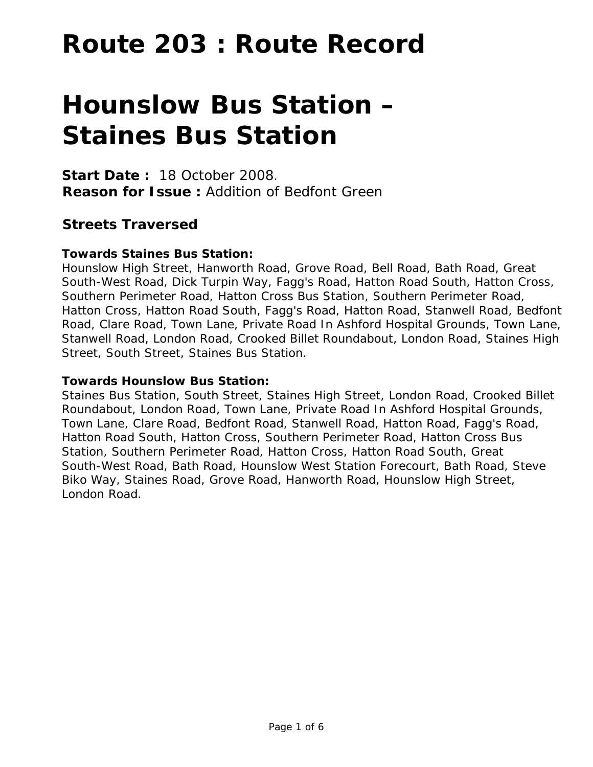# **Route 203 : Route Record**

# **Hounslow Bus Station – Staines Bus Station**

**Start Date :** 18 October 2008. **Reason for Issue :** Addition of Bedfont Green

# **Streets Traversed**

# **Towards Staines Bus Station:**

Hounslow High Street, Hanworth Road, Grove Road, Bell Road, Bath Road, Great South-West Road, Dick Turpin Way, Fagg's Road, Hatton Road South, Hatton Cross, Southern Perimeter Road, Hatton Cross Bus Station, Southern Perimeter Road, Hatton Cross, Hatton Road South, Fagg's Road, Hatton Road, Stanwell Road, Bedfont Road, Clare Road, Town Lane, Private Road In Ashford Hospital Grounds, Town Lane, Stanwell Road, London Road, Crooked Billet Roundabout, London Road, Staines High Street, South Street, Staines Bus Station.

#### **Towards Hounslow Bus Station:**

Staines Bus Station, South Street, Staines High Street, London Road, Crooked Billet Roundabout, London Road, Town Lane, Private Road In Ashford Hospital Grounds, Town Lane, Clare Road, Bedfont Road, Stanwell Road, Hatton Road, Fagg's Road, Hatton Road South, Hatton Cross, Southern Perimeter Road, Hatton Cross Bus Station, Southern Perimeter Road, Hatton Cross, Hatton Road South, Great South-West Road, Bath Road, Hounslow West Station Forecourt, Bath Road, Steve Biko Way, Staines Road, Grove Road, Hanworth Road, Hounslow High Street, London Road.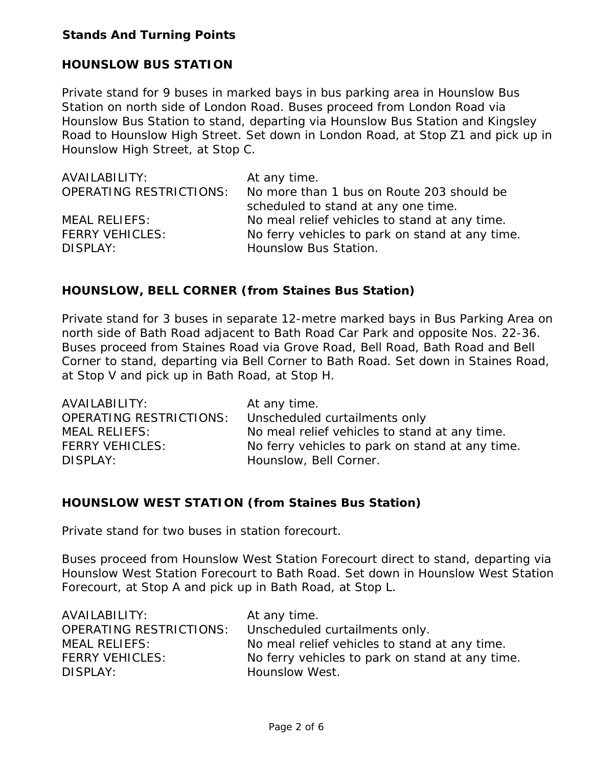#### **Stands And Turning Points**

#### **HOUNSLOW BUS STATION**

Private stand for 9 buses in marked bays in bus parking area in Hounslow Bus Station on north side of London Road. Buses proceed from London Road via Hounslow Bus Station to stand, departing via Hounslow Bus Station and Kingsley Road to Hounslow High Street. Set down in London Road, at Stop Z1 and pick up in Hounslow High Street, at Stop C.

| AVAILABILITY:                  | At any time.                                    |
|--------------------------------|-------------------------------------------------|
| <b>OPERATING RESTRICTIONS:</b> | No more than 1 bus on Route 203 should be       |
|                                | scheduled to stand at any one time.             |
| <b>MEAL RELIEFS:</b>           | No meal relief vehicles to stand at any time.   |
| <b>FERRY VEHICLES:</b>         | No ferry vehicles to park on stand at any time. |
| DISPLAY:                       | Hounslow Bus Station.                           |

#### **HOUNSLOW, BELL CORNER (from Staines Bus Station)**

Private stand for 3 buses in separate 12-metre marked bays in Bus Parking Area on north side of Bath Road adjacent to Bath Road Car Park and opposite Nos. 22-36. Buses proceed from Staines Road via Grove Road, Bell Road, Bath Road and Bell Corner to stand, departing via Bell Corner to Bath Road. Set down in Staines Road, at Stop V and pick up in Bath Road, at Stop H.

| AVAILABILITY:                  | At any time.                                    |
|--------------------------------|-------------------------------------------------|
| <b>OPERATING RESTRICTIONS:</b> | Unscheduled curtailments only                   |
| <b>MEAL RELIEFS:</b>           | No meal relief vehicles to stand at any time.   |
| <b>FERRY VEHICLES:</b>         | No ferry vehicles to park on stand at any time. |
| DISPLAY:                       | Hounslow, Bell Corner.                          |

#### **HOUNSLOW WEST STATION (from Staines Bus Station)**

Private stand for two buses in station forecourt.

Buses proceed from Hounslow West Station Forecourt direct to stand, departing via Hounslow West Station Forecourt to Bath Road. Set down in Hounslow West Station Forecourt, at Stop A and pick up in Bath Road, at Stop L.

| AVAILABILITY:                  | At any time.                                    |
|--------------------------------|-------------------------------------------------|
| <b>OPERATING RESTRICTIONS:</b> | Unscheduled curtailments only.                  |
| <b>MEAL RELIEFS:</b>           | No meal relief vehicles to stand at any time.   |
| <b>FERRY VEHICLES:</b>         | No ferry vehicles to park on stand at any time. |
| DISPLAY:                       | Hounslow West.                                  |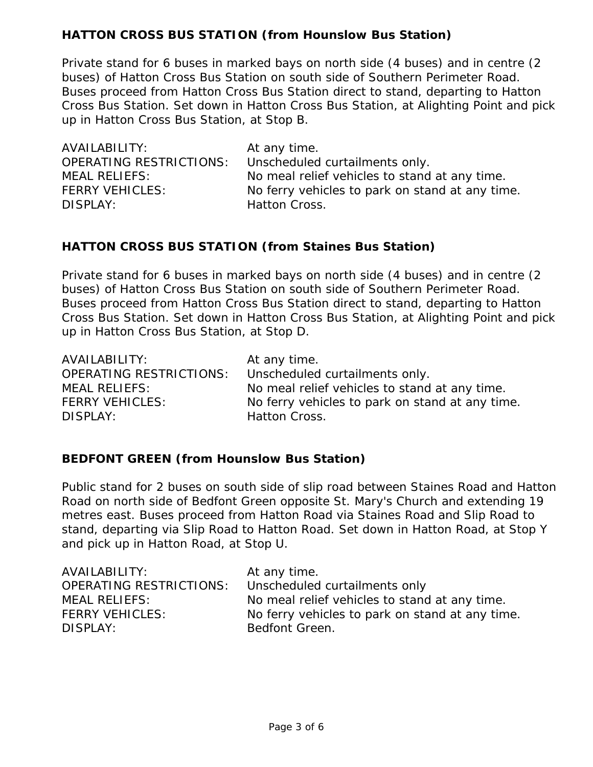# **HATTON CROSS BUS STATION (from Hounslow Bus Station)**

Private stand for 6 buses in marked bays on north side (4 buses) and in centre (2 buses) of Hatton Cross Bus Station on south side of Southern Perimeter Road. Buses proceed from Hatton Cross Bus Station direct to stand, departing to Hatton Cross Bus Station. Set down in Hatton Cross Bus Station, at Alighting Point and pick up in Hatton Cross Bus Station, at Stop B.

| AVAILABILITY:                  | At any time.                                    |
|--------------------------------|-------------------------------------------------|
| <b>OPERATING RESTRICTIONS:</b> | Unscheduled curtailments only.                  |
| <b>MEAL RELIEFS:</b>           | No meal relief vehicles to stand at any time.   |
| <b>FERRY VEHICLES:</b>         | No ferry vehicles to park on stand at any time. |
| DISPLAY:                       | Hatton Cross.                                   |

#### **HATTON CROSS BUS STATION (from Staines Bus Station)**

Private stand for 6 buses in marked bays on north side (4 buses) and in centre (2 buses) of Hatton Cross Bus Station on south side of Southern Perimeter Road. Buses proceed from Hatton Cross Bus Station direct to stand, departing to Hatton Cross Bus Station. Set down in Hatton Cross Bus Station, at Alighting Point and pick up in Hatton Cross Bus Station, at Stop D.

| AVAILABILITY:                  | At any time.                                    |
|--------------------------------|-------------------------------------------------|
| <b>OPERATING RESTRICTIONS:</b> | Unscheduled curtailments only.                  |
| <b>MEAL RELIEFS:</b>           | No meal relief vehicles to stand at any time.   |
| <b>FERRY VEHICLES:</b>         | No ferry vehicles to park on stand at any time. |
| DISPLAY:                       | Hatton Cross.                                   |

## **BEDFONT GREEN (from Hounslow Bus Station)**

Public stand for 2 buses on south side of slip road between Staines Road and Hatton Road on north side of Bedfont Green opposite St. Mary's Church and extending 19 metres east. Buses proceed from Hatton Road via Staines Road and Slip Road to stand, departing via Slip Road to Hatton Road. Set down in Hatton Road, at Stop Y and pick up in Hatton Road, at Stop U.

| AVAILABILITY:                  | At any time.                                    |
|--------------------------------|-------------------------------------------------|
| <b>OPERATING RESTRICTIONS:</b> | Unscheduled curtailments only                   |
| <b>MEAL RELIEFS:</b>           | No meal relief vehicles to stand at any time.   |
| <b>FERRY VEHICLES:</b>         | No ferry vehicles to park on stand at any time. |
| DISPLAY:                       | Bedfont Green.                                  |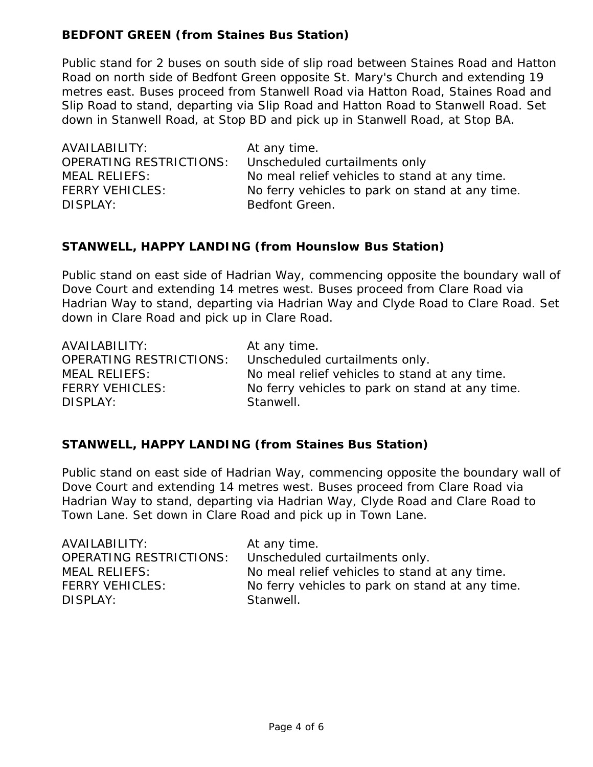# **BEDFONT GREEN (from Staines Bus Station)**

Public stand for 2 buses on south side of slip road between Staines Road and Hatton Road on north side of Bedfont Green opposite St. Mary's Church and extending 19 metres east. Buses proceed from Stanwell Road via Hatton Road, Staines Road and Slip Road to stand, departing via Slip Road and Hatton Road to Stanwell Road. Set down in Stanwell Road, at Stop BD and pick up in Stanwell Road, at Stop BA.

| AVAILABILITY:                  | At any time.                                    |
|--------------------------------|-------------------------------------------------|
| <b>OPERATING RESTRICTIONS:</b> | Unscheduled curtailments only                   |
| <b>MEAL RELIEFS:</b>           | No meal relief vehicles to stand at any time.   |
| <b>FERRY VEHICLES:</b>         | No ferry vehicles to park on stand at any time. |
| DISPLAY:                       | Bedfont Green.                                  |

## **STANWELL, HAPPY LANDING (from Hounslow Bus Station)**

Public stand on east side of Hadrian Way, commencing opposite the boundary wall of Dove Court and extending 14 metres west. Buses proceed from Clare Road via Hadrian Way to stand, departing via Hadrian Way and Clyde Road to Clare Road. Set down in Clare Road and pick up in Clare Road.

| AVAILABILITY:                  | At any time.                                    |
|--------------------------------|-------------------------------------------------|
| <b>OPERATING RESTRICTIONS:</b> | Unscheduled curtailments only.                  |
| <b>MEAL RELIEFS:</b>           | No meal relief vehicles to stand at any time.   |
| <b>FERRY VEHICLES:</b>         | No ferry vehicles to park on stand at any time. |
| DISPLAY:                       | Stanwell.                                       |

## **STANWELL, HAPPY LANDING (from Staines Bus Station)**

Public stand on east side of Hadrian Way, commencing opposite the boundary wall of Dove Court and extending 14 metres west. Buses proceed from Clare Road via Hadrian Way to stand, departing via Hadrian Way, Clyde Road and Clare Road to Town Lane. Set down in Clare Road and pick up in Town Lane.

| AVAILABILITY:                  | At any time.                                    |
|--------------------------------|-------------------------------------------------|
| <b>OPERATING RESTRICTIONS:</b> | Unscheduled curtailments only.                  |
| <b>MEAL RELIEFS:</b>           | No meal relief vehicles to stand at any time.   |
| <b>FERRY VEHICLES:</b>         | No ferry vehicles to park on stand at any time. |
| DISPLAY:                       | Stanwell.                                       |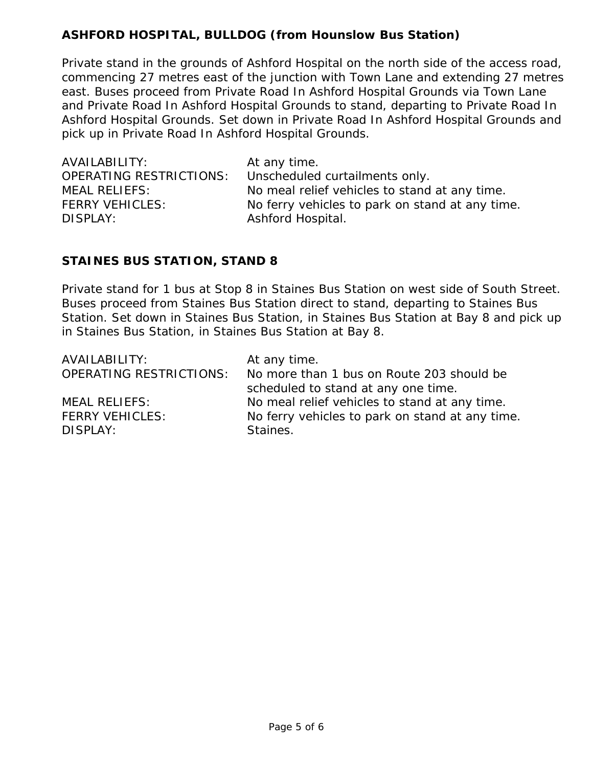# **ASHFORD HOSPITAL, BULLDOG (from Hounslow Bus Station)**

Private stand in the grounds of Ashford Hospital on the north side of the access road, commencing 27 metres east of the junction with Town Lane and extending 27 metres east. Buses proceed from Private Road In Ashford Hospital Grounds via Town Lane and Private Road In Ashford Hospital Grounds to stand, departing to Private Road In Ashford Hospital Grounds. Set down in Private Road In Ashford Hospital Grounds and pick up in Private Road In Ashford Hospital Grounds.

| AVAILABILITY:                  | At any time.                                    |
|--------------------------------|-------------------------------------------------|
| <b>OPERATING RESTRICTIONS:</b> | Unscheduled curtailments only.                  |
| <b>MEAL RELIEFS:</b>           | No meal relief vehicles to stand at any time.   |
| <b>FERRY VEHICLES:</b>         | No ferry vehicles to park on stand at any time. |
| DISPLAY:                       | Ashford Hospital.                               |

#### **STAINES BUS STATION, STAND 8**

Private stand for 1 bus at Stop 8 in Staines Bus Station on west side of South Street. Buses proceed from Staines Bus Station direct to stand, departing to Staines Bus Station. Set down in Staines Bus Station, in Staines Bus Station at Bay 8 and pick up in Staines Bus Station, in Staines Bus Station at Bay 8.

| AVAILABILITY:                  | At any time.                                    |
|--------------------------------|-------------------------------------------------|
| <b>OPERATING RESTRICTIONS:</b> | No more than 1 bus on Route 203 should be       |
|                                | scheduled to stand at any one time.             |
| <b>MEAL RELIEFS:</b>           | No meal relief vehicles to stand at any time.   |
| <b>FERRY VEHICLES:</b>         | No ferry vehicles to park on stand at any time. |
| DISPLAY:                       | Staines.                                        |
|                                |                                                 |